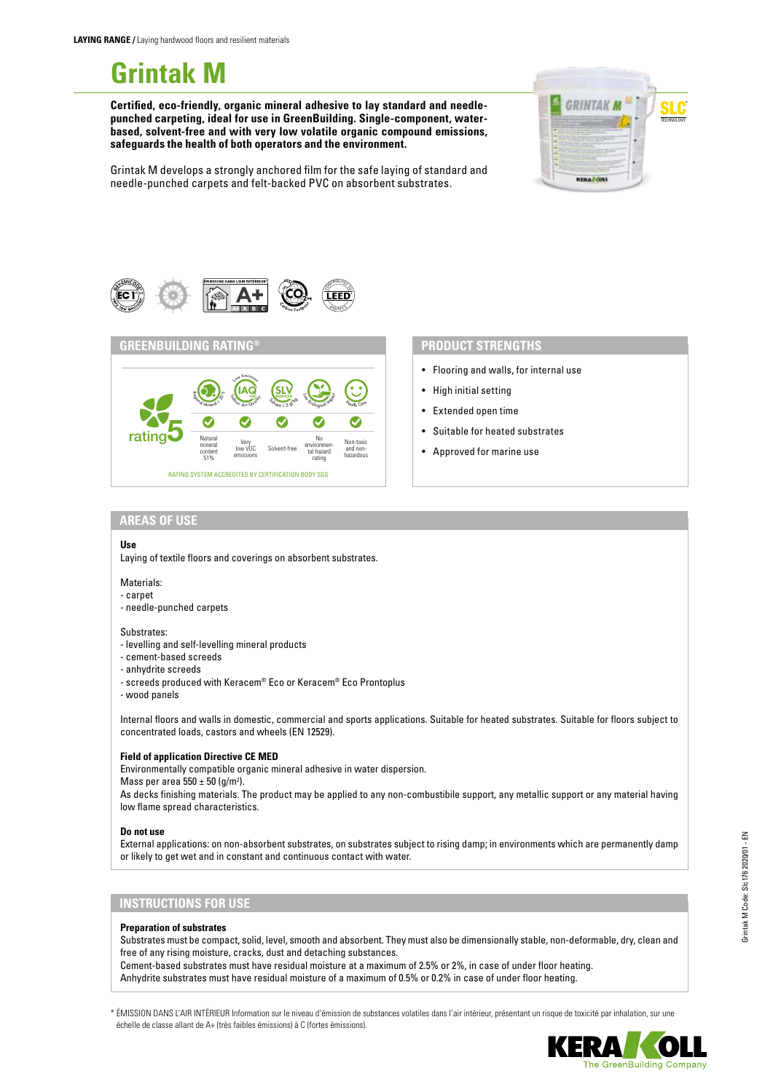# **Grintak M**

**Certified, eco-friendly, organic mineral adhesive to lay standard and needlepunched carpeting, ideal for use in GreenBuilding. Single-component, waterbased, solvent-free and with very low volatile organic compound emissions, safeguards the health of both operators and the environment.**



Grintak M develops a strongly anchored film for the safe laying of standard and needle-punched carpets and felt-backed PVC on absorbent substrates.





- Flooring and walls, for internal use
- High initial setting
- Extended open time
- Suitable for heated substrates
- Approved for marine use

#### **AREAS OF USE**

# **Use**

Laying of textile floors and coverings on absorbent substrates.

#### Materials:

- carpet
- needle-punched carpets

#### Substrates:

- levelling and self-levelling mineral products
- cement-based screeds
- anhydrite screeds
- screeds produced with Keracem® Eco or Keracem® Eco Prontoplus
- wood panels

Internal floors and walls in domestic, commercial and sports applications. Suitable for heated substrates. Suitable for floors subject to concentrated loads, castors and wheels (EN 12529).

# **Field of application Directive CE MED**

Environmentally compatible organic mineral adhesive in water dispersion. Mass per area  $550 \pm 50$  (g/m<sup>2</sup>).

As decks finishing materials. The product may be applied to any non-combustibile support, any metallic support or any material having low flame spread characteristics.

#### **Do not use**

External applications: on non-absorbent substrates, on substrates subject to rising damp; in environments which are permanently damp or likely to get wet and in constant and continuous contact with water.

# **INSTRUCTIONS FOR USE**

### **Preparation of substrates**

Substrates must be compact, solid, level, smooth and absorbent. They must also be dimensionally stable, non-deformable, dry, clean and free of any rising moisture, cracks, dust and detaching substances.

Cement-based substrates must have residual moisture at a maximum of 2.5% or 2%, in case of under floor heating. Anhydrite substrates must have residual moisture of a maximum of 0.5% or 0.2% in case of under floor heating.

\* ÉMISSION DANS L'AIR INTÉRIEUR Information sur le niveau d'émission de substances volatiles dans l'air intérieur, présentant un risque de toxicité par inhalation, sur une échelle de classe allant de A+ (très faibles émissions) à C (fortes émissions).



he GreenBuilding Company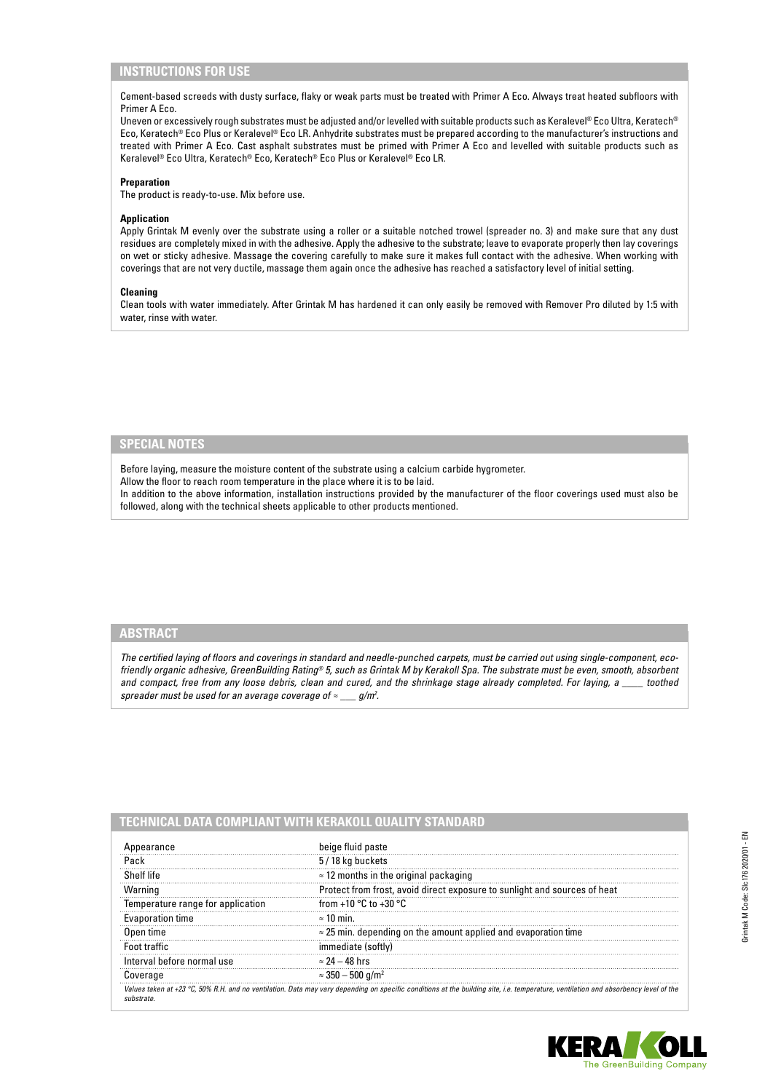# **INSTRUCTIONS FOR USE**

Cement-based screeds with dusty surface, flaky or weak parts must be treated with Primer A Eco. Always treat heated subfloors with Primer A Eco.

Uneven or excessively rough substrates must be adjusted and/or levelled with suitable products such as Keralevel® Eco Ultra, Keratech® Eco, Keratech® Eco Plus or Keralevel® Eco LR. Anhydrite substrates must be prepared according to the manufacturer's instructions and treated with Primer A Eco. Cast asphalt substrates must be primed with Primer A Eco and levelled with suitable products such as Keralevel® Eco Ultra, Keratech® Eco, Keratech® Eco Plus or Keralevel® Eco LR.

# **Preparation**

The product is ready-to-use. Mix before use.

# **Application**

Apply Grintak M evenly over the substrate using a roller or a suitable notched trowel (spreader no. 3) and make sure that any dust residues are completely mixed in with the adhesive. Apply the adhesive to the substrate; leave to evaporate properly then lay coverings on wet or sticky adhesive. Massage the covering carefully to make sure it makes full contact with the adhesive. When working with coverings that are not very ductile, massage them again once the adhesive has reached a satisfactory level of initial setting.

### **Cleaning**

Clean tools with water immediately. After Grintak M has hardened it can only easily be removed with Remover Pro diluted by 1:5 with water, rinse with water.

# **SPECIAL NOTES**

Before laying, measure the moisture content of the substrate using a calcium carbide hygrometer.

Allow the floor to reach room temperature in the place where it is to be laid.

In addition to the above information, installation instructions provided by the manufacturer of the floor coverings used must also be followed, along with the technical sheets applicable to other products mentioned.

# **ABSTRACT**

*The certified laying of floors and coverings in standard and needle-punched carpets, must be carried out using single-component, ecofriendly organic adhesive, GreenBuilding Rating® 5, such as Grintak M by Kerakoll Spa. The substrate must be even, smooth, absorbent and compact, free from any loose debris, clean and cured, and the shrinkage stage already completed. For laying, a \_\_\_\_ toothed spreader must be used for an average coverage of ≈ \_\_\_ g/m2 .*

# **TECHNICAL DATA COMPLIANT WITH KERAKOLL QUALITY STANDARD**

| Appearance                        | beige fluid paste                                                                                                                                                                   |
|-----------------------------------|-------------------------------------------------------------------------------------------------------------------------------------------------------------------------------------|
| Pack                              | 5/18 kg buckets                                                                                                                                                                     |
| Shelf life                        | $\approx$ 12 months in the original packaging                                                                                                                                       |
| Warning                           | Protect from frost, avoid direct exposure to sunlight and sources of heat                                                                                                           |
| Temperature range for application | from +10 $^{\circ}$ C to +30 $^{\circ}$ C                                                                                                                                           |
| Evaporation time                  | $\approx$ 10 min.                                                                                                                                                                   |
| Open time                         | $\approx$ 25 min. depending on the amount applied and evaporation time                                                                                                              |
| Foot traffic                      | immediate (softly)                                                                                                                                                                  |
| Interval before normal use        | $\approx$ 24 – 48 hrs                                                                                                                                                               |
| Coverage                          | $\approx 350 - 500 \; \text{g/m}^2$                                                                                                                                                 |
|                                   | Values taken at +23 °C, 50% R.H. and no ventilation. Data may vary depending on specific conditions at the building site, i.e. temperature, ventilation and absorbency level of the |